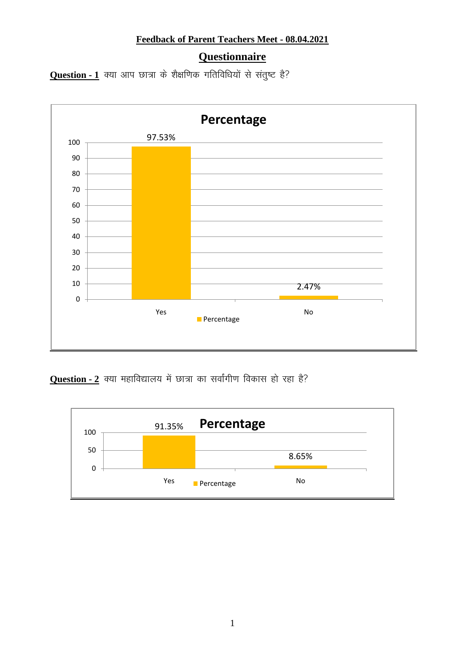## **Feedback of Parent Teachers Meet - 08.04.2021**

## **Questionnaire**

**Question - 1** क्या आप छात्रा के शैक्षणिक गतिविधियों से संतुष्ट है?



**Question - 2** क्या महाविद्यालय में छात्रा का सर्वांगीण विकास हो रहा है?

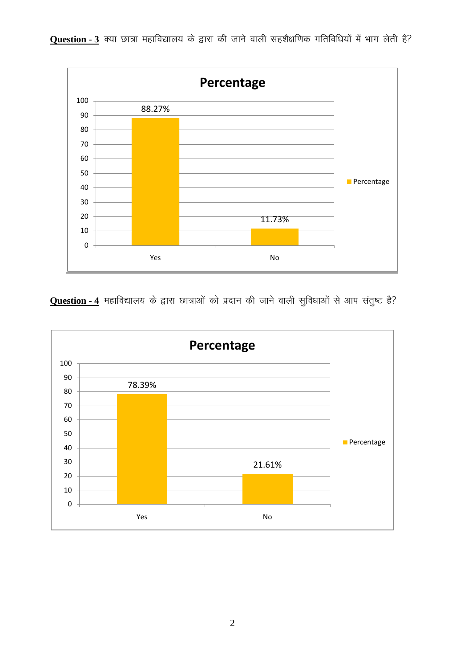

**Question - 3** क्या छात्रा महाविद्यालय के द्वारा की जाने वाली सहशैक्षणिक गतिविधियों में भाग लेती है?

**Question - 4** महाविद्यालय के द्वारा छात्राओं को प्रदान की जाने वाली सुविधाओं से आप संतुष्ट है?

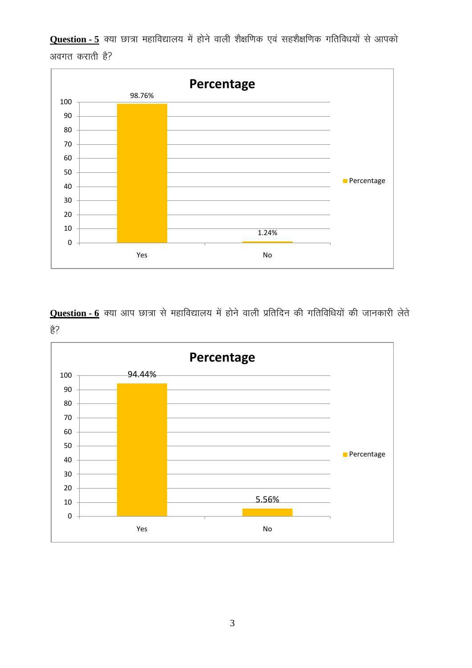**Question - 5** क्या छात्रा महाविद्यालय में होने वाली शैक्षणिक एवं सहशैक्षणिक गतिविधयों से आपको अवगत कराती है?



**Question - 6** क्या आप छात्रा से महाविद्यालय में होने वाली प्रतिदिन की गतिविधियों की जानकारी लेते  $\frac{2}{5}$ ?

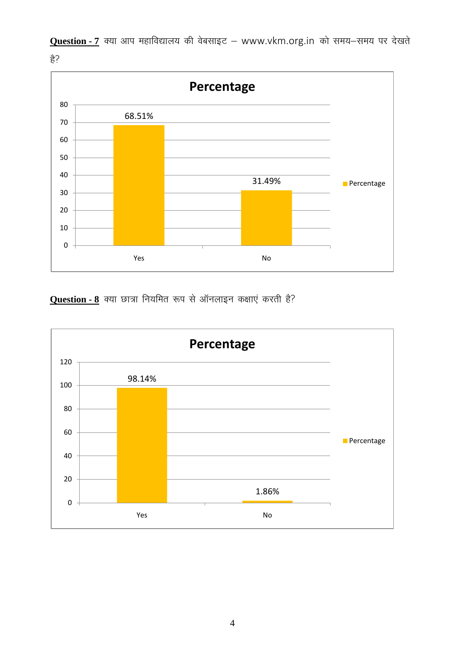

Question - 7 क्या आप महाविद्यालय की वेबसाइट - www.vkm.org.in को समय-समय पर देखते  $\frac{2}{5}$ ?

**Question - 8** क्या छात्रा नियमित रूप से ऑनलाइन कक्षाएं करती है?

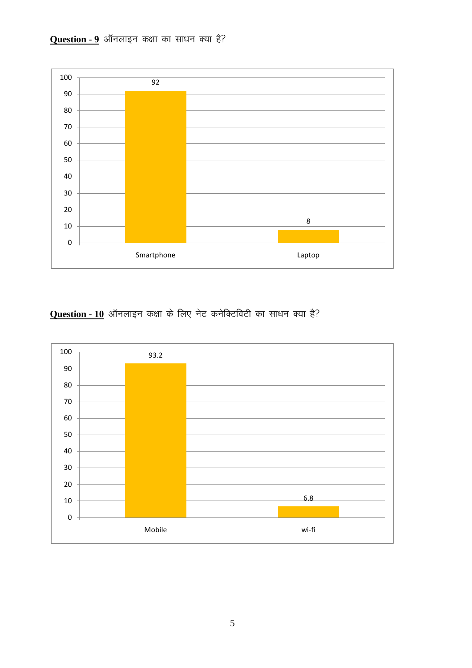



**Question - 10** ऑनलाइन कक्षा के लिए नेट कनेक्टिविटी का साधन क्या है?

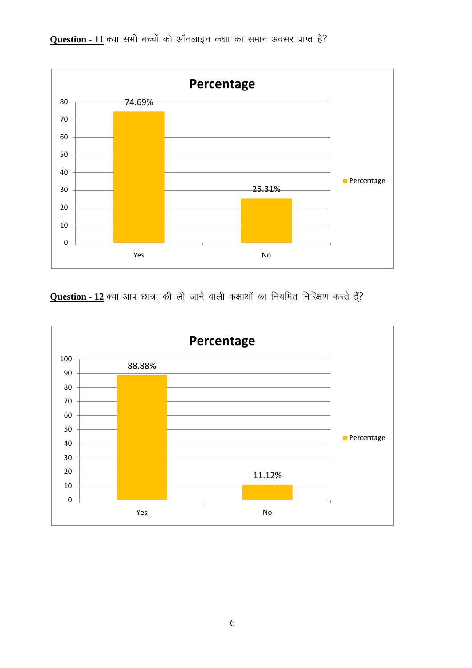

**Question - 11** क्या सभी बच्चों को ऑनलाइन कक्षा का समान अवसर प्राप्त है?

**Question - 12** क्या आप छात्रा की ली जाने वाली कक्षाओं का नियमित निरिक्षण करते हैं?